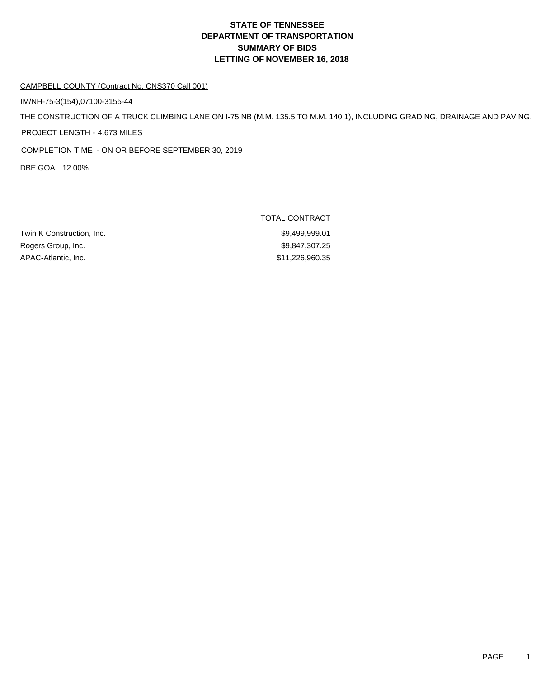# **DEPARTMENT OF TRANSPORTATION SUMMARY OF BIDS LETTING OF NOVEMBER 16, 2018 STATE OF TENNESSEE**

#### CAMPBELL COUNTY (Contract No. CNS370 Call 001)

IM/NH-75-3(154),07100-3155-44

THE CONSTRUCTION OF A TRUCK CLIMBING LANE ON I-75 NB (M.M. 135.5 TO M.M. 140.1), INCLUDING GRADING, DRAINAGE AND PAVING.

PROJECT LENGTH - 4.673 MILES

COMPLETION TIME - ON OR BEFORE SEPTEMBER 30, 2019

DBE GOAL 12.00%

| TOTAL CONTRACT  |
|-----------------|
| \$9.499.999.01  |
| \$9.847.307.25  |
| \$11,226,960.35 |
|                 |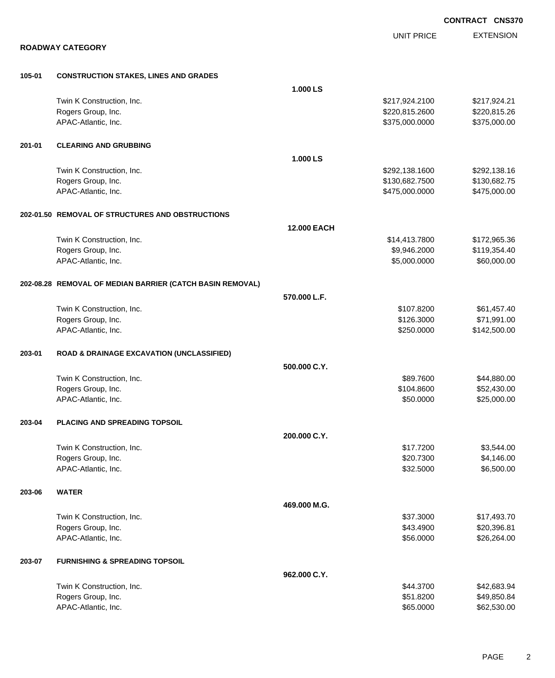|        |                                                           |                    |                   | <b>CONTRACT CNS370</b> |
|--------|-----------------------------------------------------------|--------------------|-------------------|------------------------|
|        |                                                           |                    | <b>UNIT PRICE</b> | <b>EXTENSION</b>       |
|        | <b>ROADWAY CATEGORY</b>                                   |                    |                   |                        |
| 105-01 | <b>CONSTRUCTION STAKES, LINES AND GRADES</b>              |                    |                   |                        |
|        |                                                           | 1.000 LS           |                   |                        |
|        | Twin K Construction, Inc.                                 |                    | \$217,924.2100    | \$217,924.21           |
|        | Rogers Group, Inc.                                        |                    | \$220,815.2600    | \$220,815.26           |
|        | APAC-Atlantic, Inc.                                       |                    | \$375,000.0000    | \$375,000.00           |
| 201-01 | <b>CLEARING AND GRUBBING</b>                              |                    |                   |                        |
|        |                                                           | 1.000 LS           |                   |                        |
|        | Twin K Construction, Inc.                                 |                    | \$292,138.1600    | \$292,138.16           |
|        | Rogers Group, Inc.                                        |                    | \$130,682.7500    | \$130,682.75           |
|        | APAC-Atlantic, Inc.                                       |                    | \$475,000.0000    | \$475,000.00           |
|        | 202-01.50 REMOVAL OF STRUCTURES AND OBSTRUCTIONS          |                    |                   |                        |
|        |                                                           | <b>12.000 EACH</b> |                   |                        |
|        | Twin K Construction, Inc.                                 |                    | \$14,413.7800     | \$172,965.36           |
|        | Rogers Group, Inc.                                        |                    | \$9,946.2000      | \$119,354.40           |
|        | APAC-Atlantic, Inc.                                       |                    | \$5,000.0000      | \$60,000.00            |
|        | 202-08.28 REMOVAL OF MEDIAN BARRIER (CATCH BASIN REMOVAL) |                    |                   |                        |
|        |                                                           | 570.000 L.F.       |                   |                        |
|        | Twin K Construction, Inc.                                 |                    | \$107.8200        | \$61,457.40            |
|        | Rogers Group, Inc.                                        |                    | \$126.3000        | \$71,991.00            |
|        | APAC-Atlantic, Inc.                                       |                    | \$250.0000        | \$142,500.00           |
| 203-01 | <b>ROAD &amp; DRAINAGE EXCAVATION (UNCLASSIFIED)</b>      |                    |                   |                        |
|        |                                                           | 500.000 C.Y.       |                   |                        |
|        | Twin K Construction, Inc.                                 |                    | \$89.7600         | \$44,880.00            |
|        | Rogers Group, Inc.                                        |                    | \$104.8600        | \$52,430.00            |
|        | APAC-Atlantic, Inc.                                       |                    | \$50.0000         | \$25,000.00            |
| 203-04 | PLACING AND SPREADING TOPSOIL                             |                    |                   |                        |
|        |                                                           | 200.000 C.Y.       |                   |                        |
|        | Twin K Construction, Inc.                                 |                    | \$17.7200         | \$3,544.00             |
|        | Rogers Group, Inc.                                        |                    | \$20.7300         | \$4,146.00             |
|        | APAC-Atlantic, Inc.                                       |                    | \$32.5000         | \$6,500.00             |
| 203-06 | <b>WATER</b>                                              |                    |                   |                        |
|        |                                                           | 469.000 M.G.       |                   |                        |
|        | Twin K Construction, Inc.                                 |                    | \$37.3000         | \$17,493.70            |
|        | Rogers Group, Inc.                                        |                    | \$43.4900         | \$20,396.81            |
|        | APAC-Atlantic, Inc.                                       |                    | \$56.0000         | \$26,264.00            |
| 203-07 | <b>FURNISHING &amp; SPREADING TOPSOIL</b>                 |                    |                   |                        |
|        |                                                           | 962.000 C.Y.       |                   |                        |
|        | Twin K Construction, Inc.                                 |                    | \$44.3700         | \$42,683.94            |
|        | Rogers Group, Inc.                                        |                    | \$51.8200         | \$49,850.84            |
|        | APAC-Atlantic, Inc.                                       |                    | \$65.0000         | \$62,530.00            |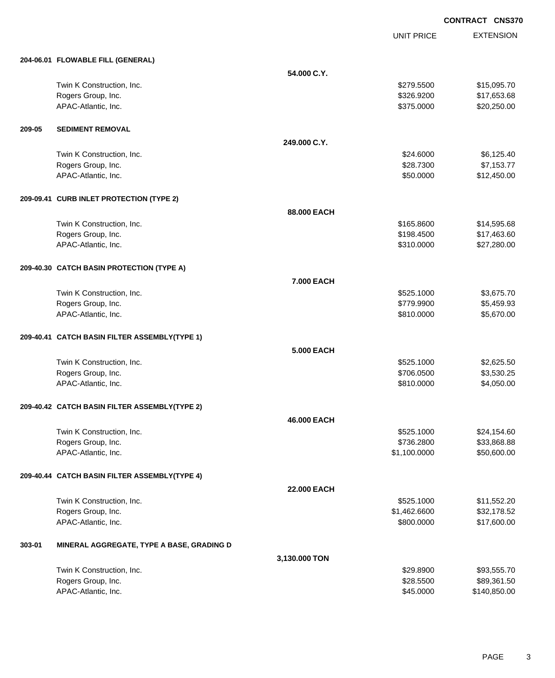EXTENSION **CONTRACT CNS370**

UNIT PRICE

|        | 204-06.01 FLOWABLE FILL (GENERAL)             |                    |              |              |
|--------|-----------------------------------------------|--------------------|--------------|--------------|
|        |                                               | 54.000 C.Y.        |              |              |
|        | Twin K Construction, Inc.                     |                    | \$279.5500   | \$15,095.70  |
|        | Rogers Group, Inc.                            |                    | \$326.9200   | \$17,653.68  |
|        | APAC-Atlantic, Inc.                           |                    | \$375.0000   | \$20,250.00  |
| 209-05 | <b>SEDIMENT REMOVAL</b>                       |                    |              |              |
|        |                                               | 249.000 C.Y.       |              |              |
|        | Twin K Construction, Inc.                     |                    | \$24.6000    | \$6,125.40   |
|        | Rogers Group, Inc.                            |                    | \$28.7300    | \$7,153.77   |
|        | APAC-Atlantic, Inc.                           |                    | \$50.0000    | \$12,450.00  |
|        | 209-09.41 CURB INLET PROTECTION (TYPE 2)      |                    |              |              |
|        |                                               | 88.000 EACH        |              |              |
|        | Twin K Construction, Inc.                     |                    | \$165.8600   | \$14,595.68  |
|        | Rogers Group, Inc.                            |                    | \$198.4500   | \$17,463.60  |
|        | APAC-Atlantic, Inc.                           |                    | \$310.0000   | \$27,280.00  |
|        | 209-40.30 CATCH BASIN PROTECTION (TYPE A)     |                    |              |              |
|        |                                               | 7.000 EACH         |              |              |
|        | Twin K Construction, Inc.                     |                    | \$525.1000   | \$3,675.70   |
|        | Rogers Group, Inc.                            |                    | \$779.9900   | \$5,459.93   |
|        | APAC-Atlantic, Inc.                           |                    | \$810.0000   | \$5,670.00   |
|        | 209-40.41 CATCH BASIN FILTER ASSEMBLY(TYPE 1) |                    |              |              |
|        |                                               | <b>5.000 EACH</b>  |              |              |
|        | Twin K Construction, Inc.                     |                    | \$525.1000   | \$2,625.50   |
|        | Rogers Group, Inc.                            |                    | \$706.0500   | \$3,530.25   |
|        | APAC-Atlantic, Inc.                           |                    | \$810.0000   | \$4,050.00   |
|        | 209-40.42 CATCH BASIN FILTER ASSEMBLY(TYPE 2) |                    |              |              |
|        |                                               | 46.000 EACH        |              |              |
|        | Twin K Construction, Inc.                     |                    | \$525.1000   | \$24,154.60  |
|        | Rogers Group, Inc.                            |                    | \$736.2800   | \$33,868.88  |
|        | APAC-Atlantic, Inc.                           |                    | \$1,100.0000 | \$50,600.00  |
|        | 209-40.44 CATCH BASIN FILTER ASSEMBLY(TYPE 4) |                    |              |              |
|        |                                               | <b>22.000 EACH</b> |              |              |
|        | Twin K Construction, Inc.                     |                    | \$525.1000   | \$11,552.20  |
|        | Rogers Group, Inc.                            |                    | \$1,462.6600 | \$32,178.52  |
|        | APAC-Atlantic, Inc.                           |                    | \$800.0000   | \$17,600.00  |
| 303-01 | MINERAL AGGREGATE, TYPE A BASE, GRADING D     |                    |              |              |
|        |                                               | 3,130.000 TON      |              |              |
|        | Twin K Construction, Inc.                     |                    | \$29.8900    | \$93,555.70  |
|        | Rogers Group, Inc.                            |                    | \$28.5500    | \$89,361.50  |
|        | APAC-Atlantic, Inc.                           |                    | \$45.0000    | \$140,850.00 |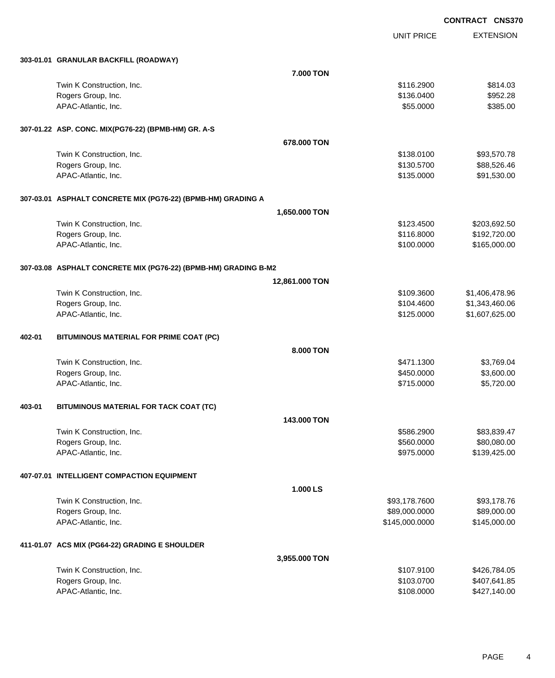UNIT PRICE EXTENSION

|        | 303-01.01 GRANULAR BACKFILL (ROADWAY)                           |                |                |                |
|--------|-----------------------------------------------------------------|----------------|----------------|----------------|
|        |                                                                 | 7.000 TON      |                |                |
|        | Twin K Construction, Inc.                                       |                | \$116.2900     | \$814.03       |
|        | Rogers Group, Inc.                                              |                | \$136.0400     | \$952.28       |
|        | APAC-Atlantic, Inc.                                             |                | \$55.0000      | \$385.00       |
|        | 307-01.22 ASP. CONC. MIX(PG76-22) (BPMB-HM) GR. A-S             |                |                |                |
|        |                                                                 | 678.000 TON    |                |                |
|        | Twin K Construction, Inc.                                       |                | \$138.0100     | \$93,570.78    |
|        | Rogers Group, Inc.                                              |                | \$130.5700     | \$88,526.46    |
|        | APAC-Atlantic, Inc.                                             |                | \$135.0000     | \$91,530.00    |
|        | 307-03.01 ASPHALT CONCRETE MIX (PG76-22) (BPMB-HM) GRADING A    |                |                |                |
|        |                                                                 | 1,650.000 TON  |                |                |
|        | Twin K Construction, Inc.                                       |                | \$123.4500     | \$203,692.50   |
|        | Rogers Group, Inc.                                              |                | \$116.8000     | \$192,720.00   |
|        | APAC-Atlantic, Inc.                                             |                | \$100.0000     | \$165,000.00   |
|        | 307-03.08 ASPHALT CONCRETE MIX (PG76-22) (BPMB-HM) GRADING B-M2 |                |                |                |
|        |                                                                 | 12,861.000 TON |                |                |
|        | Twin K Construction, Inc.                                       |                | \$109.3600     | \$1,406,478.96 |
|        | Rogers Group, Inc.                                              |                | \$104.4600     | \$1,343,460.06 |
|        | APAC-Atlantic, Inc.                                             |                | \$125.0000     | \$1,607,625.00 |
| 402-01 | BITUMINOUS MATERIAL FOR PRIME COAT (PC)                         |                |                |                |
|        |                                                                 | 8.000 TON      |                |                |
|        | Twin K Construction, Inc.                                       |                | \$471.1300     | \$3,769.04     |
|        | Rogers Group, Inc.                                              |                | \$450.0000     | \$3,600.00     |
|        | APAC-Atlantic, Inc.                                             |                | \$715.0000     | \$5,720.00     |
| 403-01 | BITUMINOUS MATERIAL FOR TACK COAT (TC)                          |                |                |                |
|        |                                                                 | 143,000 TON    |                |                |
|        | Twin K Construction, Inc.                                       |                | \$586.2900     | \$83,839.47    |
|        | Rogers Group, Inc.                                              |                | \$560.0000     | \$80,080.00    |
|        | APAC-Atlantic, Inc.                                             |                | \$975.0000     | \$139,425.00   |
|        | 407-07.01 INTELLIGENT COMPACTION EQUIPMENT                      |                |                |                |
|        |                                                                 | 1.000 LS       |                |                |
|        | Twin K Construction, Inc.                                       |                | \$93,178.7600  | \$93,178.76    |
|        | Rogers Group, Inc.                                              |                | \$89,000.0000  | \$89,000.00    |
|        | APAC-Atlantic, Inc.                                             |                | \$145,000.0000 | \$145,000.00   |
|        | 411-01.07 ACS MIX (PG64-22) GRADING E SHOULDER                  |                |                |                |
|        |                                                                 | 3,955.000 TON  |                |                |
|        | Twin K Construction, Inc.                                       |                | \$107.9100     | \$426,784.05   |
|        | Rogers Group, Inc.                                              |                | \$103.0700     | \$407,641.85   |
|        | APAC-Atlantic, Inc.                                             |                | \$108.0000     | \$427,140.00   |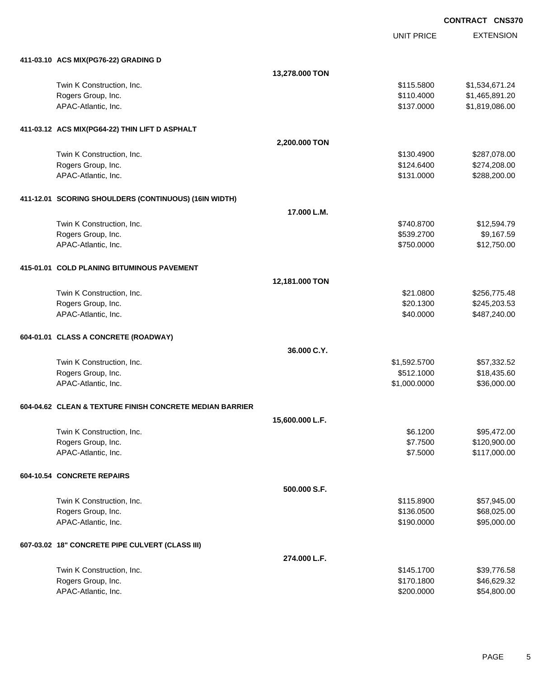UNIT PRICE EXTENSION

| 411-03.10 ACS MIX(PG76-22) GRADING D                     |                 |              |                |
|----------------------------------------------------------|-----------------|--------------|----------------|
|                                                          | 13,278.000 TON  |              |                |
| Twin K Construction, Inc.                                |                 | \$115.5800   | \$1,534,671.24 |
| Rogers Group, Inc.                                       |                 | \$110.4000   | \$1,465,891.20 |
| APAC-Atlantic, Inc.                                      |                 | \$137.0000   | \$1,819,086.00 |
| 411-03.12 ACS MIX(PG64-22) THIN LIFT D ASPHALT           |                 |              |                |
|                                                          | 2,200.000 TON   |              |                |
| Twin K Construction, Inc.                                |                 | \$130.4900   | \$287,078.00   |
| Rogers Group, Inc.                                       |                 | \$124.6400   | \$274,208.00   |
| APAC-Atlantic, Inc.                                      |                 | \$131.0000   | \$288,200.00   |
| 411-12.01 SCORING SHOULDERS (CONTINUOUS) (16IN WIDTH)    |                 |              |                |
|                                                          | 17.000 L.M.     |              |                |
| Twin K Construction, Inc.                                |                 | \$740.8700   | \$12,594.79    |
| Rogers Group, Inc.                                       |                 | \$539.2700   | \$9,167.59     |
| APAC-Atlantic, Inc.                                      |                 | \$750.0000   | \$12,750.00    |
| 415-01.01 COLD PLANING BITUMINOUS PAVEMENT               |                 |              |                |
|                                                          | 12,181.000 TON  |              |                |
| Twin K Construction, Inc.                                |                 | \$21.0800    | \$256,775.48   |
| Rogers Group, Inc.                                       |                 | \$20.1300    | \$245,203.53   |
| APAC-Atlantic, Inc.                                      |                 | \$40.0000    | \$487,240.00   |
| 604-01.01 CLASS A CONCRETE (ROADWAY)                     |                 |              |                |
|                                                          | 36.000 C.Y.     |              |                |
| Twin K Construction, Inc.                                |                 | \$1,592.5700 | \$57,332.52    |
| Rogers Group, Inc.                                       |                 | \$512.1000   | \$18,435.60    |
| APAC-Atlantic, Inc.                                      |                 | \$1,000.0000 | \$36,000.00    |
| 604-04.62 CLEAN & TEXTURE FINISH CONCRETE MEDIAN BARRIER |                 |              |                |
|                                                          | 15,600.000 L.F. |              |                |
| Twin K Construction, Inc.                                |                 | \$6.1200     | \$95,472.00    |
| Rogers Group, Inc.                                       |                 | \$7.7500     | \$120,900.00   |
| APAC-Atlantic, Inc.                                      |                 | \$7.5000     | \$117,000.00   |
| 604-10.54 CONCRETE REPAIRS                               |                 |              |                |
|                                                          | 500.000 S.F.    |              |                |
| Twin K Construction, Inc.                                |                 | \$115.8900   | \$57,945.00    |
| Rogers Group, Inc.                                       |                 | \$136.0500   | \$68,025.00    |
| APAC-Atlantic, Inc.                                      |                 | \$190.0000   | \$95,000.00    |
| 607-03.02 18" CONCRETE PIPE CULVERT (CLASS III)          |                 |              |                |
|                                                          | 274.000 L.F.    |              |                |
| Twin K Construction, Inc.                                |                 | \$145.1700   | \$39,776.58    |
| Rogers Group, Inc.                                       |                 | \$170.1800   | \$46,629.32    |
| APAC-Atlantic, Inc.                                      |                 | \$200.0000   | \$54,800.00    |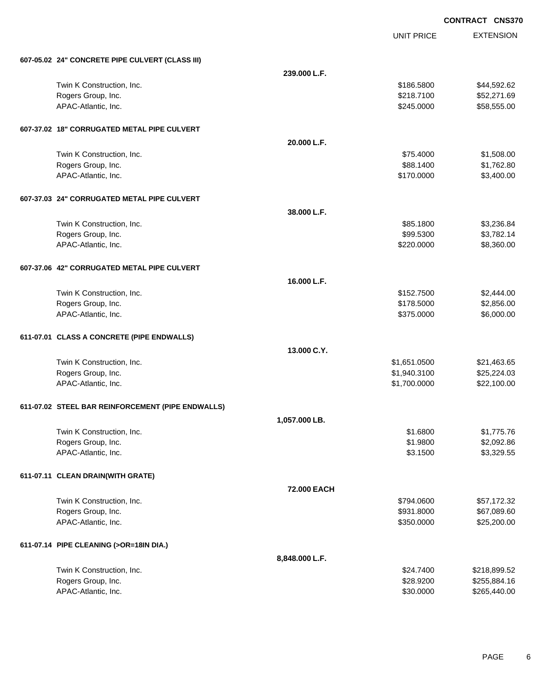UNIT PRICE

| 607-05.02 24" CONCRETE PIPE CULVERT (CLASS III)   |                |              |              |
|---------------------------------------------------|----------------|--------------|--------------|
|                                                   | 239.000 L.F.   |              |              |
| Twin K Construction, Inc.                         |                | \$186.5800   | \$44,592.62  |
| Rogers Group, Inc.                                |                | \$218.7100   | \$52,271.69  |
| APAC-Atlantic, Inc.                               |                | \$245.0000   | \$58,555.00  |
| 607-37.02 18" CORRUGATED METAL PIPE CULVERT       |                |              |              |
|                                                   | 20.000 L.F.    |              |              |
| Twin K Construction, Inc.                         |                | \$75.4000    | \$1,508.00   |
| Rogers Group, Inc.                                |                | \$88.1400    | \$1,762.80   |
| APAC-Atlantic, Inc.                               |                | \$170.0000   | \$3,400.00   |
| 607-37.03 24" CORRUGATED METAL PIPE CULVERT       |                |              |              |
|                                                   | 38.000 L.F.    |              |              |
| Twin K Construction, Inc.                         |                | \$85.1800    | \$3,236.84   |
| Rogers Group, Inc.                                |                | \$99.5300    | \$3,782.14   |
| APAC-Atlantic, Inc.                               |                | \$220.0000   | \$8,360.00   |
| 607-37.06 42" CORRUGATED METAL PIPE CULVERT       |                |              |              |
|                                                   | 16.000 L.F.    |              |              |
| Twin K Construction, Inc.                         |                | \$152.7500   | \$2,444.00   |
| Rogers Group, Inc.                                |                | \$178.5000   | \$2,856.00   |
| APAC-Atlantic, Inc.                               |                | \$375.0000   | \$6,000.00   |
| 611-07.01 CLASS A CONCRETE (PIPE ENDWALLS)        |                |              |              |
|                                                   | 13.000 C.Y.    |              |              |
| Twin K Construction, Inc.                         |                | \$1,651.0500 | \$21,463.65  |
| Rogers Group, Inc.                                |                | \$1,940.3100 | \$25,224.03  |
| APAC-Atlantic, Inc.                               |                | \$1,700.0000 | \$22,100.00  |
| 611-07.02 STEEL BAR REINFORCEMENT (PIPE ENDWALLS) |                |              |              |
|                                                   | 1,057.000 LB.  |              |              |
| Twin K Construction, Inc.                         |                | \$1.6800     | \$1,775.76   |
| Rogers Group, Inc.                                |                | \$1.9800     | \$2,092.86   |
| APAC-Atlantic, Inc.                               |                | \$3.1500     | \$3,329.55   |
| 611-07.11 CLEAN DRAIN(WITH GRATE)                 |                |              |              |
|                                                   | 72.000 EACH    |              |              |
| Twin K Construction, Inc.                         |                | \$794.0600   | \$57,172.32  |
| Rogers Group, Inc.                                |                | \$931.8000   | \$67,089.60  |
| APAC-Atlantic, Inc.                               |                | \$350.0000   | \$25,200.00  |
| 611-07.14 PIPE CLEANING (>OR=18IN DIA.)           |                |              |              |
|                                                   | 8,848.000 L.F. |              |              |
| Twin K Construction, Inc.                         |                | \$24.7400    | \$218,899.52 |
| Rogers Group, Inc.                                |                | \$28.9200    | \$255,884.16 |
| APAC-Atlantic, Inc.                               |                | \$30.0000    | \$265,440.00 |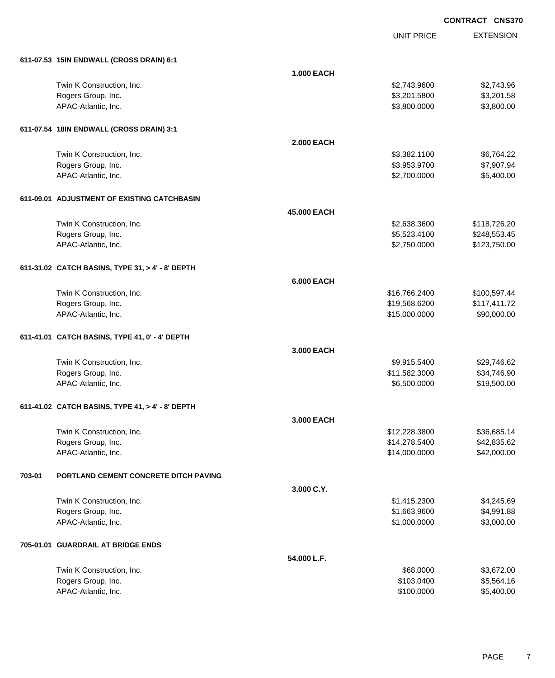UNIT PRICE EXTENSION

|        | 611-07.53 15IN ENDWALL (CROSS DRAIN) 6:1         |                   |               |              |
|--------|--------------------------------------------------|-------------------|---------------|--------------|
|        |                                                  | <b>1.000 EACH</b> |               |              |
|        | Twin K Construction, Inc.                        |                   | \$2,743.9600  | \$2,743.96   |
|        | Rogers Group, Inc.                               |                   | \$3,201.5800  | \$3,201.58   |
|        | APAC-Atlantic, Inc.                              |                   | \$3,800.0000  | \$3,800.00   |
|        | 611-07.54 18IN ENDWALL (CROSS DRAIN) 3:1         |                   |               |              |
|        |                                                  | <b>2.000 EACH</b> |               |              |
|        | Twin K Construction, Inc.                        |                   | \$3,382.1100  | \$6,764.22   |
|        | Rogers Group, Inc.                               |                   | \$3,953.9700  | \$7,907.94   |
|        | APAC-Atlantic, Inc.                              |                   | \$2,700.0000  | \$5,400.00   |
|        | 611-09.01 ADJUSTMENT OF EXISTING CATCHBASIN      |                   |               |              |
|        |                                                  | 45.000 EACH       |               |              |
|        | Twin K Construction, Inc.                        |                   | \$2,638.3600  | \$118,726.20 |
|        | Rogers Group, Inc.                               |                   | \$5,523.4100  | \$248,553.45 |
|        | APAC-Atlantic, Inc.                              |                   | \$2,750.0000  | \$123,750.00 |
|        | 611-31.02 CATCH BASINS, TYPE 31, > 4' - 8' DEPTH |                   |               |              |
|        |                                                  | <b>6.000 EACH</b> |               |              |
|        | Twin K Construction, Inc.                        |                   | \$16,766.2400 | \$100,597.44 |
|        | Rogers Group, Inc.                               |                   | \$19,568.6200 | \$117,411.72 |
|        | APAC-Atlantic, Inc.                              |                   | \$15,000.0000 | \$90,000.00  |
|        | 611-41.01 CATCH BASINS, TYPE 41, 0' - 4' DEPTH   |                   |               |              |
|        |                                                  | 3.000 EACH        |               |              |
|        | Twin K Construction, Inc.                        |                   | \$9,915.5400  | \$29,746.62  |
|        | Rogers Group, Inc.                               |                   | \$11,582.3000 | \$34,746.90  |
|        | APAC-Atlantic, Inc.                              |                   | \$6,500.0000  | \$19,500.00  |
|        | 611-41.02 CATCH BASINS, TYPE 41, > 4' - 8' DEPTH |                   |               |              |
|        |                                                  | 3.000 EACH        |               |              |
|        | Twin K Construction, Inc.                        |                   | \$12,228.3800 | \$36,685.14  |
|        | Rogers Group, Inc.                               |                   | \$14,278.5400 | \$42,835.62  |
|        | APAC-Atlantic, Inc.                              |                   | \$14,000.0000 | \$42,000.00  |
| 703-01 | <b>PORTLAND CEMENT CONCRETE DITCH PAVING</b>     |                   |               |              |
|        |                                                  | 3.000 C.Y.        |               |              |
|        | Twin K Construction, Inc.                        |                   | \$1,415.2300  | \$4,245.69   |
|        | Rogers Group, Inc.                               |                   | \$1,663.9600  | \$4,991.88   |
|        | APAC-Atlantic, Inc.                              |                   | \$1,000.0000  | \$3,000.00   |
|        | 705-01.01 GUARDRAIL AT BRIDGE ENDS               |                   |               |              |
|        |                                                  | 54.000 L.F.       |               |              |
|        | Twin K Construction, Inc.                        |                   | \$68.0000     | \$3,672.00   |
|        | Rogers Group, Inc.                               |                   | \$103.0400    | \$5,564.16   |
|        | APAC-Atlantic, Inc.                              |                   | \$100.0000    | \$5,400.00   |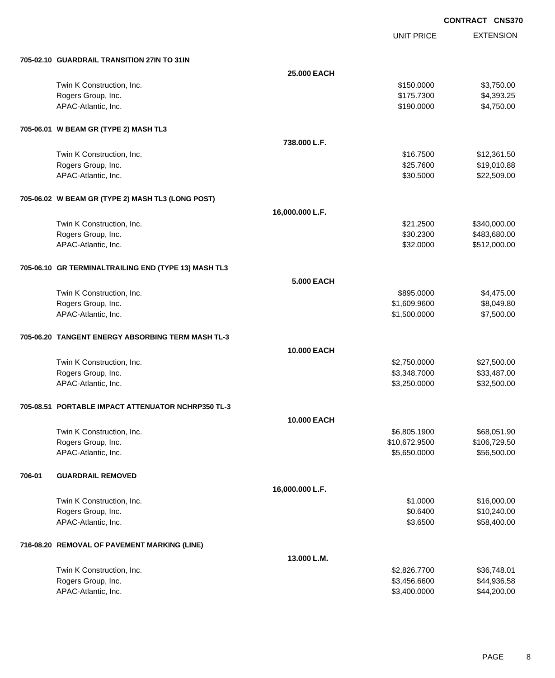UNIT PRICE

|        | 705-02.10 GUARDRAIL TRANSITION 27IN TO 31IN          |                   |               |              |
|--------|------------------------------------------------------|-------------------|---------------|--------------|
|        |                                                      | 25.000 EACH       |               |              |
|        | Twin K Construction, Inc.                            |                   | \$150.0000    | \$3,750.00   |
|        | Rogers Group, Inc.                                   |                   | \$175.7300    | \$4,393.25   |
|        | APAC-Atlantic, Inc.                                  |                   | \$190.0000    | \$4,750.00   |
|        | 705-06.01 W BEAM GR (TYPE 2) MASH TL3                |                   |               |              |
|        |                                                      | 738.000 L.F.      |               |              |
|        | Twin K Construction, Inc.                            |                   | \$16.7500     | \$12,361.50  |
|        | Rogers Group, Inc.                                   |                   | \$25.7600     | \$19,010.88  |
|        | APAC-Atlantic, Inc.                                  |                   | \$30.5000     | \$22,509.00  |
|        | 705-06.02 W BEAM GR (TYPE 2) MASH TL3 (LONG POST)    |                   |               |              |
|        |                                                      | 16,000.000 L.F.   |               |              |
|        | Twin K Construction, Inc.                            |                   | \$21.2500     | \$340,000.00 |
|        | Rogers Group, Inc.                                   |                   | \$30.2300     | \$483,680.00 |
|        | APAC-Atlantic, Inc.                                  |                   | \$32.0000     | \$512,000.00 |
|        | 705-06.10 GR TERMINALTRAILING END (TYPE 13) MASH TL3 |                   |               |              |
|        |                                                      | <b>5.000 EACH</b> |               |              |
|        | Twin K Construction, Inc.                            |                   | \$895.0000    | \$4,475.00   |
|        | Rogers Group, Inc.                                   |                   | \$1,609.9600  | \$8,049.80   |
|        | APAC-Atlantic, Inc.                                  |                   | \$1,500.0000  | \$7,500.00   |
|        | 705-06.20 TANGENT ENERGY ABSORBING TERM MASH TL-3    |                   |               |              |
|        |                                                      | 10.000 EACH       |               |              |
|        | Twin K Construction, Inc.                            |                   | \$2,750.0000  | \$27,500.00  |
|        | Rogers Group, Inc.                                   |                   | \$3,348.7000  | \$33,487.00  |
|        | APAC-Atlantic, Inc.                                  |                   | \$3,250.0000  | \$32,500.00  |
|        | 705-08.51 PORTABLE IMPACT ATTENUATOR NCHRP350 TL-3   |                   |               |              |
|        |                                                      | 10.000 EACH       |               |              |
|        | Twin K Construction, Inc.                            |                   | \$6,805.1900  | \$68,051.90  |
|        | Rogers Group, Inc.                                   |                   | \$10,672.9500 | \$106,729.50 |
|        | APAC-Atlantic, Inc.                                  |                   | \$5,650.0000  | \$56,500.00  |
| 706-01 | <b>GUARDRAIL REMOVED</b>                             |                   |               |              |
|        |                                                      | 16,000.000 L.F.   |               |              |
|        | Twin K Construction, Inc.                            |                   | \$1.0000      | \$16,000.00  |
|        | Rogers Group, Inc.                                   |                   | \$0.6400      | \$10,240.00  |
|        | APAC-Atlantic, Inc.                                  |                   | \$3.6500      | \$58,400.00  |
|        | 716-08.20 REMOVAL OF PAVEMENT MARKING (LINE)         |                   |               |              |
|        |                                                      | 13.000 L.M.       |               |              |
|        | Twin K Construction, Inc.                            |                   | \$2,826.7700  | \$36,748.01  |
|        | Rogers Group, Inc.                                   |                   | \$3,456.6600  | \$44,936.58  |
|        | APAC-Atlantic, Inc.                                  |                   | \$3,400.0000  | \$44,200.00  |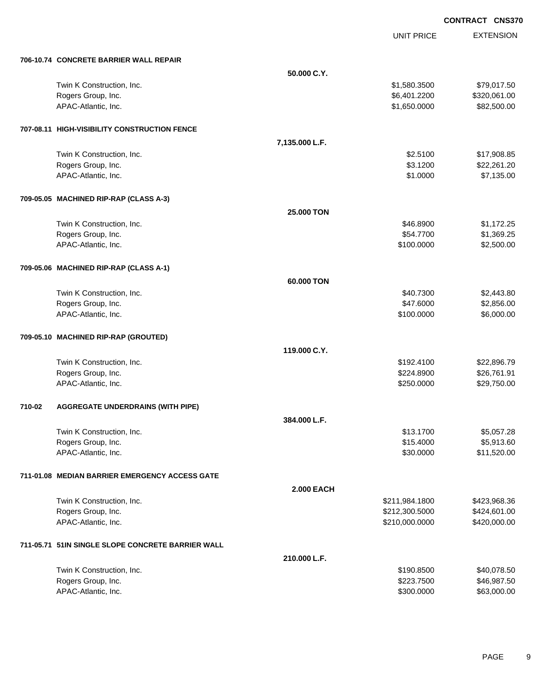UNIT PRICE

|        | 706-10.74 CONCRETE BARRIER WALL REPAIR            |                   |                |              |
|--------|---------------------------------------------------|-------------------|----------------|--------------|
|        |                                                   | 50.000 C.Y.       |                |              |
|        | Twin K Construction, Inc.                         |                   | \$1,580.3500   | \$79,017.50  |
|        | Rogers Group, Inc.                                |                   | \$6,401.2200   | \$320,061.00 |
|        | APAC-Atlantic, Inc.                               |                   | \$1,650.0000   | \$82,500.00  |
|        | 707-08.11 HIGH-VISIBILITY CONSTRUCTION FENCE      |                   |                |              |
|        |                                                   | 7,135.000 L.F.    |                |              |
|        | Twin K Construction, Inc.                         |                   | \$2.5100       | \$17,908.85  |
|        | Rogers Group, Inc.                                |                   | \$3.1200       | \$22,261.20  |
|        | APAC-Atlantic, Inc.                               |                   | \$1.0000       | \$7,135.00   |
|        | 709-05.05 MACHINED RIP-RAP (CLASS A-3)            |                   |                |              |
|        |                                                   | <b>25,000 TON</b> |                |              |
|        | Twin K Construction, Inc.                         |                   | \$46.8900      | \$1,172.25   |
|        | Rogers Group, Inc.                                |                   | \$54.7700      | \$1,369.25   |
|        | APAC-Atlantic, Inc.                               |                   | \$100.0000     | \$2,500.00   |
|        | 709-05.06 MACHINED RIP-RAP (CLASS A-1)            |                   |                |              |
|        |                                                   | 60.000 TON        |                |              |
|        | Twin K Construction, Inc.                         |                   | \$40.7300      | \$2,443.80   |
|        | Rogers Group, Inc.                                |                   | \$47.6000      | \$2,856.00   |
|        | APAC-Atlantic, Inc.                               |                   | \$100.0000     | \$6,000.00   |
|        | 709-05.10 MACHINED RIP-RAP (GROUTED)              |                   |                |              |
|        |                                                   | 119.000 C.Y.      |                |              |
|        | Twin K Construction, Inc.                         |                   | \$192.4100     | \$22,896.79  |
|        | Rogers Group, Inc.                                |                   | \$224.8900     | \$26,761.91  |
|        | APAC-Atlantic, Inc.                               |                   | \$250.0000     | \$29,750.00  |
| 710-02 | <b>AGGREGATE UNDERDRAINS (WITH PIPE)</b>          |                   |                |              |
|        |                                                   | 384.000 L.F.      |                |              |
|        | Twin K Construction, Inc.                         |                   | \$13.1700      | \$5,057.28   |
|        | Rogers Group, Inc.                                |                   | \$15.4000      | \$5,913.60   |
|        | APAC-Atlantic, Inc.                               |                   | \$30.0000      | \$11,520.00  |
|        | 711-01.08 MEDIAN BARRIER EMERGENCY ACCESS GATE    |                   |                |              |
|        |                                                   | <b>2.000 EACH</b> |                |              |
|        | Twin K Construction, Inc.                         |                   | \$211,984.1800 | \$423,968.36 |
|        | Rogers Group, Inc.                                |                   | \$212,300.5000 | \$424,601.00 |
|        | APAC-Atlantic, Inc.                               |                   | \$210,000.0000 | \$420,000.00 |
|        | 711-05.71 51IN SINGLE SLOPE CONCRETE BARRIER WALL |                   |                |              |
|        |                                                   | 210.000 L.F.      |                |              |
|        | Twin K Construction, Inc.                         |                   | \$190.8500     | \$40,078.50  |
|        | Rogers Group, Inc.                                |                   | \$223.7500     | \$46,987.50  |
|        | APAC-Atlantic, Inc.                               |                   | \$300.0000     | \$63,000.00  |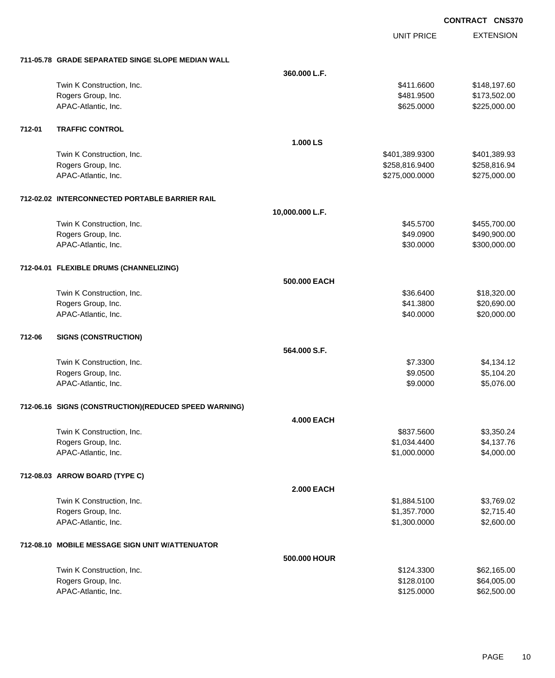|        |                                                        |                   |                   | וטטוט            |
|--------|--------------------------------------------------------|-------------------|-------------------|------------------|
|        |                                                        |                   | <b>UNIT PRICE</b> | <b>EXTENSION</b> |
|        | 711-05.78 GRADE SEPARATED SINGE SLOPE MEDIAN WALL      |                   |                   |                  |
|        |                                                        | 360.000 L.F.      |                   |                  |
|        | Twin K Construction, Inc.                              |                   | \$411.6600        | \$148,197.60     |
|        | Rogers Group, Inc.                                     |                   | \$481.9500        | \$173,502.00     |
|        | APAC-Atlantic, Inc.                                    |                   | \$625.0000        | \$225,000.00     |
| 712-01 | <b>TRAFFIC CONTROL</b>                                 |                   |                   |                  |
|        |                                                        | 1.000 LS          |                   |                  |
|        | Twin K Construction, Inc.                              |                   | \$401,389.9300    | \$401,389.93     |
|        | Rogers Group, Inc.                                     |                   | \$258,816.9400    | \$258,816.94     |
|        | APAC-Atlantic, Inc.                                    |                   | \$275,000.0000    | \$275,000.00     |
|        | 712-02.02 INTERCONNECTED PORTABLE BARRIER RAIL         |                   |                   |                  |
|        |                                                        | 10,000.000 L.F.   |                   |                  |
|        | Twin K Construction, Inc.                              |                   | \$45.5700         | \$455,700.00     |
|        | Rogers Group, Inc.                                     |                   | \$49.0900         | \$490,900.00     |
|        | APAC-Atlantic, Inc.                                    |                   | \$30.0000         | \$300,000.00     |
|        | 712-04.01 FLEXIBLE DRUMS (CHANNELIZING)                |                   |                   |                  |
|        |                                                        | 500.000 EACH      |                   |                  |
|        | Twin K Construction, Inc.                              |                   | \$36.6400         | \$18,320.00      |
|        | Rogers Group, Inc.                                     |                   | \$41.3800         | \$20,690.00      |
|        | APAC-Atlantic, Inc.                                    |                   | \$40.0000         | \$20,000.00      |
| 712-06 | <b>SIGNS (CONSTRUCTION)</b>                            |                   |                   |                  |
|        |                                                        | 564.000 S.F.      |                   |                  |
|        | Twin K Construction, Inc.                              |                   | \$7.3300          | \$4,134.12       |
|        | Rogers Group, Inc.                                     |                   | \$9.0500          | \$5,104.20       |
|        | APAC-Atlantic, Inc.                                    |                   | \$9.0000          | \$5,076.00       |
|        | 712-06.16 SIGNS (CONSTRUCTION) (REDUCED SPEED WARNING) |                   |                   |                  |
|        |                                                        | <b>4.000 EACH</b> |                   |                  |
|        | Twin K Construction, Inc.                              |                   | \$837.5600        | \$3,350.24       |
|        | Rogers Group, Inc.                                     |                   | \$1,034.4400      | \$4,137.76       |
|        | APAC-Atlantic, Inc.                                    |                   | \$1,000.0000      | \$4,000.00       |
|        | 712-08.03 ARROW BOARD (TYPE C)                         |                   |                   |                  |
|        |                                                        | <b>2.000 EACH</b> |                   |                  |
|        | Twin K Construction, Inc.                              |                   | \$1,884.5100      | \$3,769.02       |
|        | Rogers Group, Inc.                                     |                   | \$1,357.7000      | \$2,715.40       |
|        | APAC-Atlantic, Inc.                                    |                   | \$1,300.0000      | \$2,600.00       |
|        | 712-08.10 MOBILE MESSAGE SIGN UNIT W/ATTENUATOR        |                   |                   |                  |
|        |                                                        | 500.000 HOUR      |                   |                  |
|        | Twin K Construction, Inc.                              |                   | \$124.3300        | \$62,165.00      |
|        | Rogers Group, Inc.                                     |                   | \$128.0100        | \$64,005.00      |
|        | APAC-Atlantic, Inc.                                    |                   | \$125.0000        | \$62,500.00      |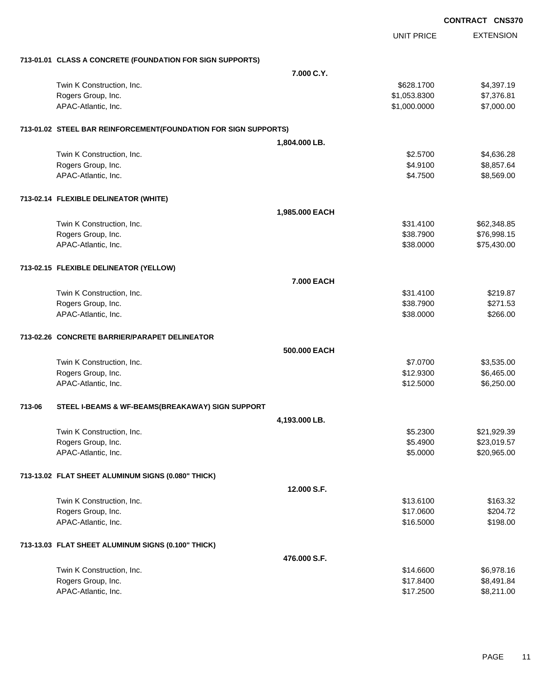|        |                                                                 |                |                   | <b>CONTRACT CNS370</b> |                  |
|--------|-----------------------------------------------------------------|----------------|-------------------|------------------------|------------------|
|        |                                                                 |                | <b>UNIT PRICE</b> |                        | <b>EXTENSION</b> |
|        | 713-01.01 CLASS A CONCRETE (FOUNDATION FOR SIGN SUPPORTS)       |                |                   |                        |                  |
|        |                                                                 | 7.000 C.Y.     |                   |                        |                  |
|        | Twin K Construction, Inc.                                       |                | \$628.1700        |                        | \$4,397.19       |
|        | Rogers Group, Inc.                                              |                | \$1,053.8300      |                        | \$7,376.81       |
|        | APAC-Atlantic, Inc.                                             |                | \$1,000.0000      |                        | \$7,000.00       |
|        | 713-01.02 STEEL BAR REINFORCEMENT(FOUNDATION FOR SIGN SUPPORTS) |                |                   |                        |                  |
|        |                                                                 | 1,804.000 LB.  |                   |                        |                  |
|        | Twin K Construction, Inc.                                       |                | \$2.5700          |                        | \$4,636.28       |
|        | Rogers Group, Inc.                                              |                | \$4.9100          |                        | \$8,857.64       |
|        | APAC-Atlantic, Inc.                                             |                | \$4.7500          |                        | \$8,569.00       |
|        | 713-02.14 FLEXIBLE DELINEATOR (WHITE)                           |                |                   |                        |                  |
|        |                                                                 | 1,985.000 EACH |                   |                        |                  |
|        | Twin K Construction, Inc.                                       |                | \$31.4100         |                        | \$62,348.85      |
|        | Rogers Group, Inc.                                              |                | \$38.7900         |                        | \$76,998.15      |
|        | APAC-Atlantic, Inc.                                             |                | \$38.0000         |                        | \$75,430.00      |
|        | 713-02.15 FLEXIBLE DELINEATOR (YELLOW)                          |                |                   |                        |                  |
|        |                                                                 | 7.000 EACH     |                   |                        |                  |
|        | Twin K Construction, Inc.                                       |                | \$31.4100         |                        | \$219.87         |
|        | Rogers Group, Inc.                                              |                | \$38.7900         |                        | \$271.53         |
|        | APAC-Atlantic, Inc.                                             |                | \$38.0000         |                        | \$266.00         |
|        | 713-02.26 CONCRETE BARRIER/PARAPET DELINEATOR                   |                |                   |                        |                  |
|        |                                                                 | 500.000 EACH   |                   |                        |                  |
|        | Twin K Construction, Inc.                                       |                | \$7.0700          |                        | \$3,535.00       |
|        | Rogers Group, Inc.                                              |                | \$12.9300         |                        | \$6,465.00       |
|        | APAC-Atlantic, Inc.                                             |                | \$12.5000         |                        | \$6,250.00       |
| 713-06 | STEEL I-BEAMS & WF-BEAMS(BREAKAWAY) SIGN SUPPORT                |                |                   |                        |                  |
|        |                                                                 | 4,193.000 LB.  |                   |                        |                  |
|        | Twin K Construction, Inc.                                       |                | \$5.2300          |                        | \$21,929.39      |
|        | Rogers Group, Inc.                                              |                | \$5.4900          |                        | \$23,019.57      |
|        | APAC-Atlantic, Inc.                                             |                | \$5.0000          |                        | \$20,965.00      |
|        | 713-13.02 FLAT SHEET ALUMINUM SIGNS (0.080" THICK)              |                |                   |                        |                  |
|        |                                                                 | 12.000 S.F.    |                   |                        |                  |
|        | Twin K Construction, Inc.                                       |                | \$13.6100         |                        | \$163.32         |
|        | Rogers Group, Inc.                                              |                | \$17.0600         |                        | \$204.72         |
|        | APAC-Atlantic, Inc.                                             |                | \$16.5000         |                        | \$198.00         |
|        | 713-13.03 FLAT SHEET ALUMINUM SIGNS (0.100" THICK)              |                |                   |                        |                  |
|        |                                                                 | 476.000 S.F.   |                   |                        |                  |
|        | Twin K Construction, Inc.                                       |                | \$14.6600         |                        | \$6,978.16       |
|        | Rogers Group, Inc.                                              |                | \$17.8400         |                        | \$8,491.84       |
|        | APAC-Atlantic, Inc.                                             |                | \$17.2500         |                        | \$8,211.00       |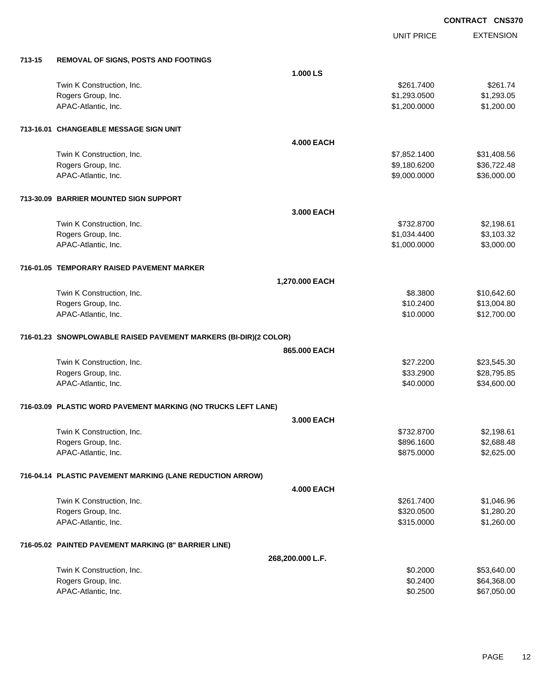|        |                                                                  |                   | <b>UNIT PRICE</b> | <b>EXTENSION</b> |
|--------|------------------------------------------------------------------|-------------------|-------------------|------------------|
| 713-15 | REMOVAL OF SIGNS, POSTS AND FOOTINGS                             |                   |                   |                  |
|        |                                                                  | 1.000 LS          |                   |                  |
|        | Twin K Construction, Inc.                                        |                   | \$261.7400        | \$261.74         |
|        | Rogers Group, Inc.                                               |                   | \$1,293.0500      | \$1,293.05       |
|        | APAC-Atlantic, Inc.                                              |                   | \$1,200.0000      | \$1,200.00       |
|        | 713-16.01 CHANGEABLE MESSAGE SIGN UNIT                           |                   |                   |                  |
|        |                                                                  | <b>4.000 EACH</b> |                   |                  |
|        | Twin K Construction, Inc.                                        |                   | \$7,852.1400      | \$31,408.56      |
|        | Rogers Group, Inc.                                               |                   | \$9,180.6200      | \$36,722.48      |
|        | APAC-Atlantic, Inc.                                              |                   | \$9,000.0000      | \$36,000.00      |
|        | 713-30.09 BARRIER MOUNTED SIGN SUPPORT                           |                   |                   |                  |
|        |                                                                  | 3.000 EACH        |                   |                  |
|        | Twin K Construction, Inc.                                        |                   | \$732.8700        | \$2,198.61       |
|        | Rogers Group, Inc.                                               |                   | \$1,034.4400      | \$3,103.32       |
|        | APAC-Atlantic, Inc.                                              |                   | \$1,000.0000      | \$3,000.00       |
|        | 716-01.05 TEMPORARY RAISED PAVEMENT MARKER                       |                   |                   |                  |
|        |                                                                  | 1,270.000 EACH    |                   |                  |
|        | Twin K Construction, Inc.                                        |                   | \$8.3800          | \$10,642.60      |
|        | Rogers Group, Inc.                                               |                   | \$10.2400         | \$13,004.80      |
|        | APAC-Atlantic, Inc.                                              |                   | \$10.0000         | \$12,700.00      |
|        | 716-01.23 SNOWPLOWABLE RAISED PAVEMENT MARKERS (BI-DIR)(2 COLOR) |                   |                   |                  |
|        |                                                                  | 865.000 EACH      |                   |                  |
|        | Twin K Construction, Inc.                                        |                   | \$27.2200         | \$23,545.30      |
|        | Rogers Group, Inc.                                               |                   | \$33.2900         | \$28,795.85      |
|        | APAC-Atlantic, Inc.                                              |                   | \$40.0000         | \$34,600.00      |
|        | 716-03.09 PLASTIC WORD PAVEMENT MARKING (NO TRUCKS LEFT LANE)    |                   |                   |                  |
|        |                                                                  | 3.000 EACH        |                   |                  |
|        | Twin K Construction, Inc.                                        |                   | \$732.8700        | \$2,198.61       |
|        | Rogers Group, Inc.                                               |                   | \$896.1600        | \$2,688.48       |
|        | APAC-Atlantic, Inc.                                              |                   | \$875.0000        | \$2,625.00       |
|        | 716-04.14 PLASTIC PAVEMENT MARKING (LANE REDUCTION ARROW)        |                   |                   |                  |
|        |                                                                  | <b>4.000 EACH</b> |                   |                  |
|        | Twin K Construction, Inc.                                        |                   | \$261.7400        | \$1,046.96       |
|        | Rogers Group, Inc.                                               |                   | \$320.0500        | \$1,280.20       |
|        | APAC-Atlantic, Inc.                                              |                   | \$315.0000        | \$1,260.00       |
|        | 716-05.02 PAINTED PAVEMENT MARKING (8" BARRIER LINE)             |                   |                   |                  |
|        |                                                                  | 268,200.000 L.F.  |                   |                  |
|        | Twin K Construction, Inc.                                        |                   | \$0.2000          | \$53,640.00      |
|        | Rogers Group, Inc.                                               |                   | \$0.2400          | \$64,368.00      |
|        | APAC-Atlantic, Inc.                                              |                   | \$0.2500          | \$67,050.00      |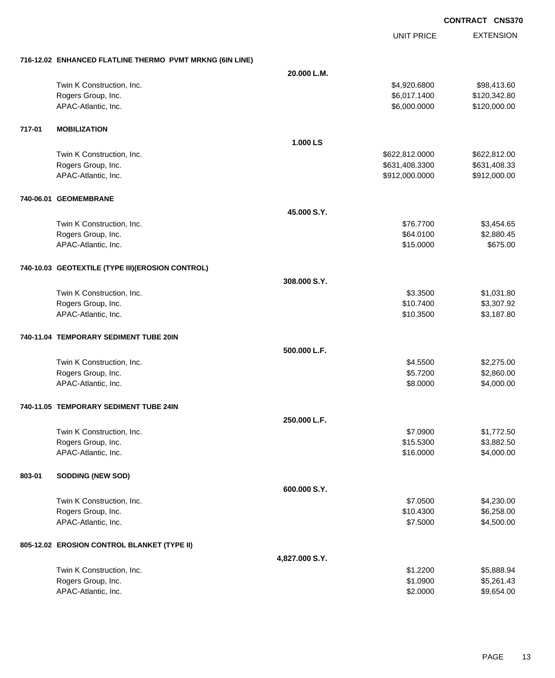UNIT PRICE

| 716-12.02 ENHANCED FLATLINE THERMO PVMT MRKNG (6IN LINE) |  |
|----------------------------------------------------------|--|
|                                                          |  |

|        | 710-12.02 ENTANCED FLATLINE THERMO FVMT MRANG (OIN LINE) |                |                       |                          |
|--------|----------------------------------------------------------|----------------|-----------------------|--------------------------|
|        |                                                          | 20.000 L.M.    |                       |                          |
|        | Twin K Construction, Inc.                                |                | \$4,920.6800          | \$98,413.60              |
|        | Rogers Group, Inc.                                       |                | \$6,017.1400          | \$120,342.80             |
|        | APAC-Atlantic, Inc.                                      |                | \$6,000.0000          | \$120,000.00             |
|        |                                                          |                |                       |                          |
| 717-01 | <b>MOBILIZATION</b>                                      |                |                       |                          |
|        |                                                          | 1.000 LS       |                       |                          |
|        | Twin K Construction, Inc.                                |                | \$622,812.0000        | \$622,812.00             |
|        | Rogers Group, Inc.                                       |                | \$631,408.3300        | \$631,408.33             |
|        | APAC-Atlantic, Inc.                                      |                | \$912,000.0000        | \$912,000.00             |
|        |                                                          |                |                       |                          |
|        | 740-06.01 GEOMEMBRANE                                    |                |                       |                          |
|        |                                                          | 45.000 S.Y.    |                       |                          |
|        | Twin K Construction, Inc.                                |                | \$76.7700             | \$3,454.65               |
|        | Rogers Group, Inc.                                       |                | \$64.0100             | \$2,880.45               |
|        | APAC-Atlantic, Inc.                                      |                | \$15.0000             | \$675.00                 |
|        |                                                          |                |                       |                          |
|        | 740-10.03 GEOTEXTILE (TYPE III) (EROSION CONTROL)        |                |                       |                          |
|        |                                                          | 308.000 S.Y.   |                       |                          |
|        |                                                          |                |                       |                          |
|        | Twin K Construction, Inc.                                |                | \$3.3500<br>\$10.7400 | \$1,031.80               |
|        | Rogers Group, Inc.<br>APAC-Atlantic, Inc.                |                | \$10.3500             | \$3,307.92<br>\$3,187.80 |
|        |                                                          |                |                       |                          |
|        | 740-11.04 TEMPORARY SEDIMENT TUBE 20IN                   |                |                       |                          |
|        |                                                          | 500.000 L.F.   |                       |                          |
|        | Twin K Construction, Inc.                                |                | \$4.5500              | \$2,275.00               |
|        | Rogers Group, Inc.                                       |                | \$5.7200              | \$2,860.00               |
|        | APAC-Atlantic, Inc.                                      |                | \$8.0000              | \$4,000.00               |
|        |                                                          |                |                       |                          |
|        | 740-11.05 TEMPORARY SEDIMENT TUBE 24IN                   |                |                       |                          |
|        |                                                          | 250.000 L.F.   |                       |                          |
|        | Twin K Construction, Inc.                                |                | \$7.0900              | \$1,772.50               |
|        | Rogers Group, Inc.                                       |                | \$15.5300             | \$3,882.50               |
|        | APAC-Atlantic, Inc.                                      |                | \$16.0000             | \$4,000.00               |
|        |                                                          |                |                       |                          |
| 803-01 | <b>SODDING (NEW SOD)</b>                                 |                |                       |                          |
|        |                                                          | 600.000 S.Y.   |                       |                          |
|        | Twin K Construction, Inc.                                |                | \$7.0500              | \$4,230.00               |
|        | Rogers Group, Inc.                                       |                | \$10.4300             | \$6,258.00               |
|        | APAC-Atlantic, Inc.                                      |                | \$7.5000              | \$4,500.00               |
|        | 805-12.02 EROSION CONTROL BLANKET (TYPE II)              |                |                       |                          |
|        |                                                          | 4,827.000 S.Y. |                       |                          |
|        | Twin K Construction, Inc.                                |                | \$1.2200              | \$5,888.94               |
|        | Rogers Group, Inc.                                       |                | \$1.0900              | \$5,261.43               |
|        | APAC-Atlantic, Inc.                                      |                | \$2.0000              | \$9,654.00               |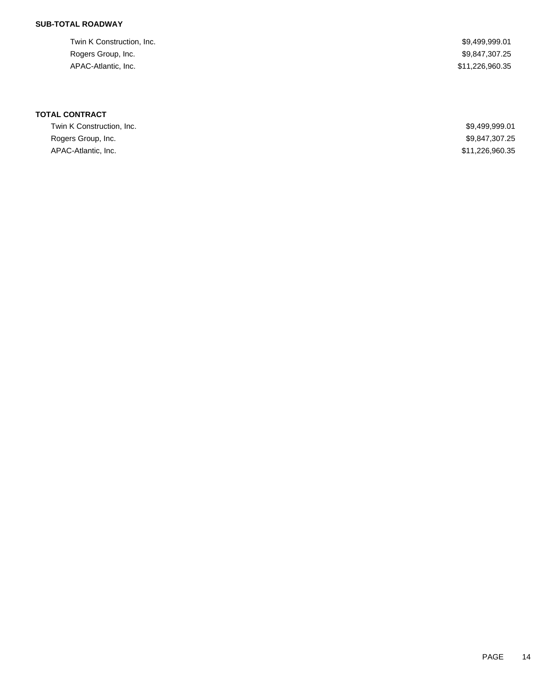### **SUB-TOTAL ROADWAY**

Twin K Construction, Inc. 69,499,999.01 Rogers Group, Inc. \$9,847,307.25 APAC-Atlantic, Inc. \$11,226,960.35

### **TOTAL CONTRACT**

| Twin K Construction, Inc. | \$9,499,999.01  |
|---------------------------|-----------------|
| Rogers Group, Inc.        | \$9,847,307.25  |
| APAC-Atlantic, Inc.       | \$11,226,960.35 |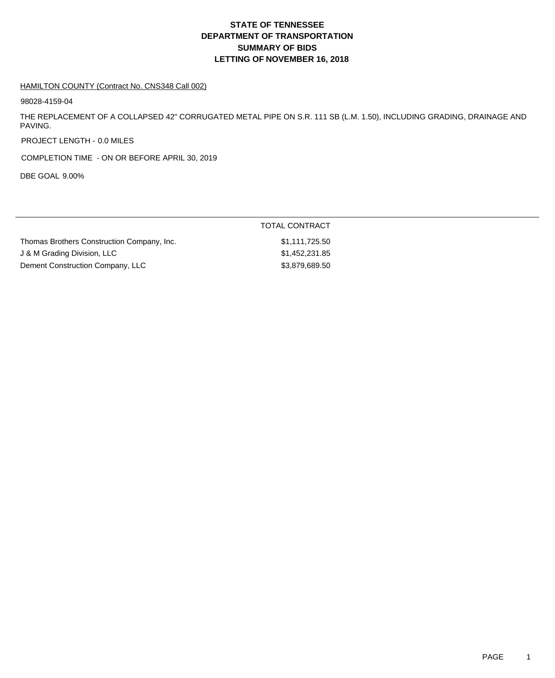# **DEPARTMENT OF TRANSPORTATION SUMMARY OF BIDS LETTING OF NOVEMBER 16, 2018 STATE OF TENNESSEE**

#### HAMILTON COUNTY (Contract No. CNS348 Call 002)

98028-4159-04

THE REPLACEMENT OF A COLLAPSED 42" CORRUGATED METAL PIPE ON S.R. 111 SB (L.M. 1.50), INCLUDING GRADING, DRAINAGE AND PAVING.

PROJECT LENGTH - 0.0 MILES

COMPLETION TIME - ON OR BEFORE APRIL 30, 2019

DBE GOAL 9.00%

|                                            | TOTAL CONTRACT |  |
|--------------------------------------------|----------------|--|
| Thomas Brothers Construction Company, Inc. | \$1,111,725.50 |  |
| J & M Grading Division, LLC                | \$1,452,231.85 |  |
| Dement Construction Company, LLC           | \$3,879,689.50 |  |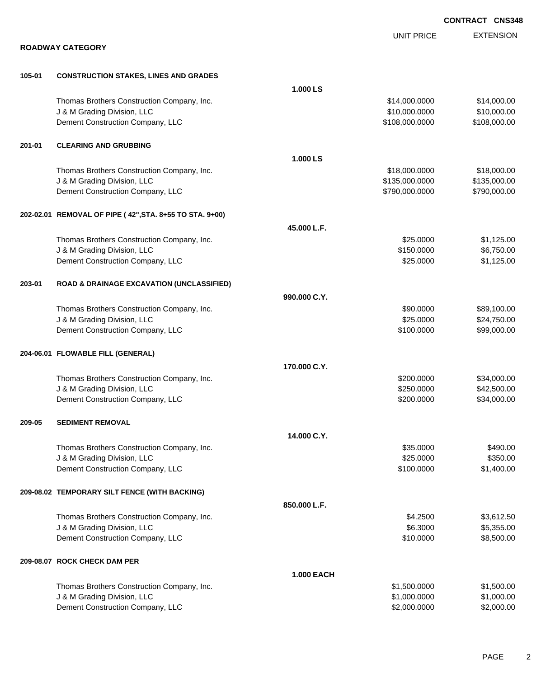|        |                                                                           |                   |                                | <b>CONTRACT CNS348</b>     |
|--------|---------------------------------------------------------------------------|-------------------|--------------------------------|----------------------------|
|        |                                                                           |                   | <b>UNIT PRICE</b>              | <b>EXTENSION</b>           |
|        | <b>ROADWAY CATEGORY</b>                                                   |                   |                                |                            |
|        |                                                                           |                   |                                |                            |
| 105-01 | <b>CONSTRUCTION STAKES, LINES AND GRADES</b>                              |                   |                                |                            |
|        |                                                                           | 1.000 LS          |                                |                            |
|        | Thomas Brothers Construction Company, Inc.<br>J & M Grading Division, LLC |                   | \$14,000.0000<br>\$10,000.0000 | \$14,000.00<br>\$10,000.00 |
|        | Dement Construction Company, LLC                                          |                   | \$108,000.0000                 | \$108,000.00               |
|        |                                                                           |                   |                                |                            |
| 201-01 | <b>CLEARING AND GRUBBING</b>                                              |                   |                                |                            |
|        |                                                                           | 1.000 LS          |                                |                            |
|        | Thomas Brothers Construction Company, Inc.                                |                   | \$18,000.0000                  | \$18,000.00                |
|        | J & M Grading Division, LLC                                               |                   | \$135,000.0000                 | \$135,000.00               |
|        | Dement Construction Company, LLC                                          |                   | \$790,000.0000                 | \$790,000.00               |
|        | 202-02.01 REMOVAL OF PIPE (42", STA. 8+55 TO STA. 9+00)                   |                   |                                |                            |
|        |                                                                           | 45.000 L.F.       |                                |                            |
|        | Thomas Brothers Construction Company, Inc.                                |                   | \$25.0000                      | \$1,125.00                 |
|        | J & M Grading Division, LLC                                               |                   | \$150.0000                     | \$6,750.00                 |
|        | Dement Construction Company, LLC                                          |                   | \$25.0000                      | \$1,125.00                 |
| 203-01 | <b>ROAD &amp; DRAINAGE EXCAVATION (UNCLASSIFIED)</b>                      |                   |                                |                            |
|        |                                                                           | 990.000 C.Y.      |                                |                            |
|        | Thomas Brothers Construction Company, Inc.                                |                   | \$90.0000                      | \$89,100.00                |
|        | J & M Grading Division, LLC                                               |                   | \$25.0000                      | \$24,750.00                |
|        | Dement Construction Company, LLC                                          |                   | \$100.0000                     | \$99,000.00                |
|        | 204-06.01 FLOWABLE FILL (GENERAL)                                         |                   |                                |                            |
|        |                                                                           | 170.000 C.Y.      |                                |                            |
|        | Thomas Brothers Construction Company, Inc.                                |                   | \$200.0000                     | \$34,000.00                |
|        | J & M Grading Division, LLC                                               |                   | \$250.0000                     | \$42,500.00                |
|        | Dement Construction Company, LLC                                          |                   | \$200.0000                     | \$34,000.00                |
| 209-05 | <b>SEDIMENT REMOVAL</b>                                                   |                   |                                |                            |
|        |                                                                           | 14.000 C.Y.       |                                |                            |
|        | Thomas Brothers Construction Company, Inc.                                |                   | \$35.0000                      | \$490.00                   |
|        | J & M Grading Division, LLC                                               |                   | \$25.0000                      | \$350.00                   |
|        | Dement Construction Company, LLC                                          |                   | \$100.0000                     | \$1,400.00                 |
|        | 209-08.02 TEMPORARY SILT FENCE (WITH BACKING)                             |                   |                                |                            |
|        |                                                                           | 850.000 L.F.      |                                |                            |
|        | Thomas Brothers Construction Company, Inc.                                |                   | \$4.2500                       | \$3,612.50                 |
|        | J & M Grading Division, LLC                                               |                   | \$6.3000                       | \$5,355.00                 |
|        | Dement Construction Company, LLC                                          |                   | \$10.0000                      | \$8,500.00                 |
|        | 209-08.07 ROCK CHECK DAM PER                                              |                   |                                |                            |
|        |                                                                           | <b>1.000 EACH</b> |                                |                            |
|        | Thomas Brothers Construction Company, Inc.                                |                   | \$1,500.0000                   | \$1,500.00                 |
|        | J & M Grading Division, LLC                                               |                   | \$1,000.0000                   | \$1,000.00                 |
|        | Dement Construction Company, LLC                                          |                   | \$2,000.0000                   | \$2,000.00                 |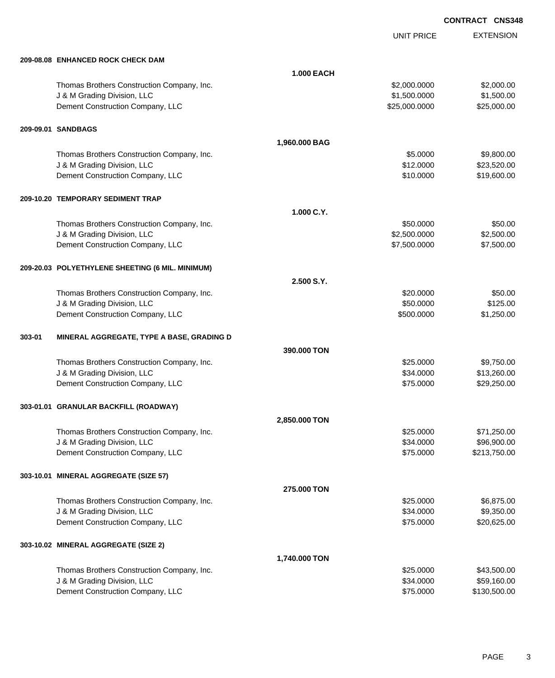UNIT PRICE

|        | 209-08.08 ENHANCED ROCK CHECK DAM                |                   |               |              |
|--------|--------------------------------------------------|-------------------|---------------|--------------|
|        |                                                  | <b>1.000 EACH</b> |               |              |
|        | Thomas Brothers Construction Company, Inc.       |                   | \$2,000.0000  | \$2,000.00   |
|        | J & M Grading Division, LLC                      |                   | \$1,500.0000  | \$1,500.00   |
|        | Dement Construction Company, LLC                 |                   | \$25,000.0000 | \$25,000.00  |
|        | 209-09.01 SANDBAGS                               |                   |               |              |
|        |                                                  | 1,960.000 BAG     |               |              |
|        | Thomas Brothers Construction Company, Inc.       |                   | \$5.0000      | \$9,800.00   |
|        | J & M Grading Division, LLC                      |                   | \$12.0000     | \$23,520.00  |
|        | Dement Construction Company, LLC                 |                   | \$10.0000     | \$19,600.00  |
|        | 209-10.20  TEMPORARY SEDIMENT TRAP               |                   |               |              |
|        |                                                  | 1.000 C.Y.        |               |              |
|        | Thomas Brothers Construction Company, Inc.       |                   | \$50.0000     | \$50.00      |
|        | J & M Grading Division, LLC                      |                   | \$2,500.0000  | \$2,500.00   |
|        | Dement Construction Company, LLC                 |                   | \$7,500.0000  | \$7,500.00   |
|        | 209-20.03 POLYETHYLENE SHEETING (6 MIL. MINIMUM) |                   |               |              |
|        |                                                  | 2.500 S.Y.        |               |              |
|        | Thomas Brothers Construction Company, Inc.       |                   | \$20.0000     | \$50.00      |
|        | J & M Grading Division, LLC                      |                   | \$50.0000     | \$125.00     |
|        | Dement Construction Company, LLC                 |                   | \$500.0000    | \$1,250.00   |
| 303-01 | MINERAL AGGREGATE, TYPE A BASE, GRADING D        |                   |               |              |
|        |                                                  | 390.000 TON       |               |              |
|        | Thomas Brothers Construction Company, Inc.       |                   | \$25.0000     | \$9,750.00   |
|        | J & M Grading Division, LLC                      |                   | \$34.0000     | \$13,260.00  |
|        | Dement Construction Company, LLC                 |                   | \$75.0000     | \$29,250.00  |
|        | 303-01.01 GRANULAR BACKFILL (ROADWAY)            |                   |               |              |
|        |                                                  | 2,850.000 TON     |               |              |
|        | Thomas Brothers Construction Company, Inc.       |                   | \$25.0000     | \$71,250.00  |
|        | J & M Grading Division, LLC                      |                   | \$34.0000     | \$96,900.00  |
|        | Dement Construction Company, LLC                 |                   | \$75.0000     | \$213,750.00 |
|        | 303-10.01 MINERAL AGGREGATE (SIZE 57)            |                   |               |              |
|        |                                                  | 275.000 TON       |               |              |
|        | Thomas Brothers Construction Company, Inc.       |                   | \$25.0000     | \$6,875.00   |
|        | J & M Grading Division, LLC                      |                   | \$34.0000     | \$9,350.00   |
|        | Dement Construction Company, LLC                 |                   | \$75.0000     | \$20,625.00  |
|        | 303-10.02 MINERAL AGGREGATE (SIZE 2)             |                   |               |              |
|        |                                                  | 1,740.000 TON     |               |              |
|        |                                                  |                   |               |              |

| Thomas Brothers Construction Company, Inc. | \$25,0000 | \$43,500.00  |
|--------------------------------------------|-----------|--------------|
| J & M Grading Division, LLC                | \$34,0000 | \$59,160.00  |
| Dement Construction Company, LLC           | \$75,0000 | \$130,500.00 |
|                                            |           |              |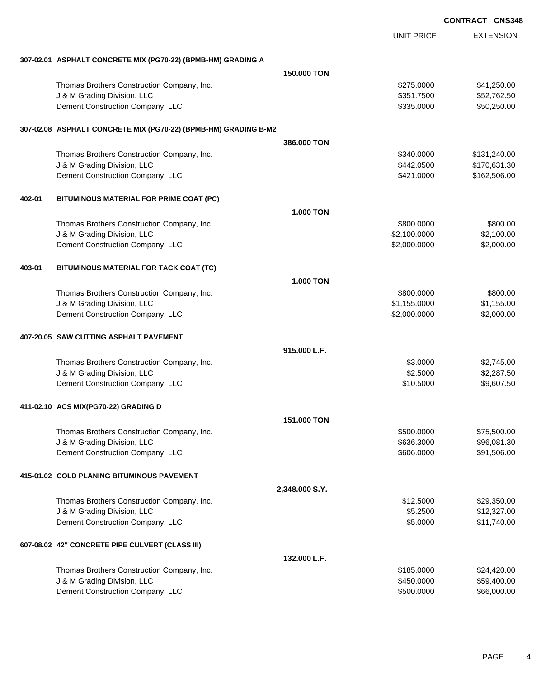|        |                                                                 |                  |                   | <b>CONTRACT CNS348</b> |                  |
|--------|-----------------------------------------------------------------|------------------|-------------------|------------------------|------------------|
|        |                                                                 |                  | <b>UNIT PRICE</b> |                        | <b>EXTENSION</b> |
|        | 307-02.01 ASPHALT CONCRETE MIX (PG70-22) (BPMB-HM) GRADING A    |                  |                   |                        |                  |
|        |                                                                 | 150,000 TON      |                   |                        |                  |
|        | Thomas Brothers Construction Company, Inc.                      |                  | \$275.0000        |                        | \$41,250.00      |
|        | J & M Grading Division, LLC                                     |                  | \$351.7500        |                        | \$52,762.50      |
|        | Dement Construction Company, LLC                                |                  | \$335.0000        |                        | \$50,250.00      |
|        | 307-02.08 ASPHALT CONCRETE MIX (PG70-22) (BPMB-HM) GRADING B-M2 |                  |                   |                        |                  |
|        |                                                                 | 386,000 TON      |                   |                        |                  |
|        | Thomas Brothers Construction Company, Inc.                      |                  | \$340.0000        |                        | \$131,240.00     |
|        | J & M Grading Division, LLC                                     |                  | \$442.0500        |                        | \$170,631.30     |
|        | Dement Construction Company, LLC                                |                  | \$421.0000        |                        | \$162,506.00     |
| 402-01 | BITUMINOUS MATERIAL FOR PRIME COAT (PC)                         |                  |                   |                        |                  |
|        |                                                                 | <b>1.000 TON</b> |                   |                        |                  |
|        | Thomas Brothers Construction Company, Inc.                      |                  | \$800.0000        |                        | \$800.00         |
|        | J & M Grading Division, LLC                                     |                  | \$2,100.0000      |                        | \$2,100.00       |
|        | Dement Construction Company, LLC                                |                  | \$2,000.0000      |                        | \$2,000.00       |
| 403-01 | BITUMINOUS MATERIAL FOR TACK COAT (TC)                          |                  |                   |                        |                  |
|        |                                                                 | <b>1.000 TON</b> |                   |                        |                  |
|        | Thomas Brothers Construction Company, Inc.                      |                  | \$800.0000        |                        | \$800.00         |
|        | J & M Grading Division, LLC                                     |                  | \$1,155.0000      |                        | \$1,155.00       |
|        | Dement Construction Company, LLC                                |                  | \$2,000.0000      |                        | \$2,000.00       |
|        | 407-20.05 SAW CUTTING ASPHALT PAVEMENT                          |                  |                   |                        |                  |
|        |                                                                 | 915.000 L.F.     |                   |                        |                  |
|        | Thomas Brothers Construction Company, Inc.                      |                  | \$3.0000          |                        | \$2,745.00       |
|        | J & M Grading Division, LLC                                     |                  | \$2.5000          |                        | \$2,287.50       |
|        | Dement Construction Company, LLC                                |                  | \$10.5000         |                        | \$9,607.50       |
|        | 411-02.10 ACS MIX(PG70-22) GRADING D                            |                  |                   |                        |                  |
|        |                                                                 | 151,000 TON      |                   |                        |                  |
|        | Thomas Brothers Construction Company, Inc.                      |                  | \$500.0000        |                        | \$75,500.00      |
|        | J & M Grading Division, LLC                                     |                  | \$636.3000        |                        | \$96,081.30      |
|        | Dement Construction Company, LLC                                |                  | \$606.0000        |                        | \$91,506.00      |
|        | 415-01.02 COLD PLANING BITUMINOUS PAVEMENT                      |                  |                   |                        |                  |
|        |                                                                 | 2,348.000 S.Y.   |                   |                        |                  |
|        | Thomas Brothers Construction Company, Inc.                      |                  | \$12.5000         |                        | \$29,350.00      |
|        | J & M Grading Division, LLC                                     |                  | \$5.2500          |                        | \$12,327.00      |
|        | Dement Construction Company, LLC                                |                  | \$5.0000          |                        | \$11,740.00      |
|        | 607-08.02 42" CONCRETE PIPE CULVERT (CLASS III)                 |                  |                   |                        |                  |
|        |                                                                 | 132.000 L.F.     |                   |                        |                  |
|        | Thomas Brothers Construction Company, Inc.                      |                  | \$185.0000        |                        | \$24,420.00      |
|        | J & M Grading Division, LLC                                     |                  | \$450.0000        |                        | \$59,400.00      |
|        | Dement Construction Company, LLC                                |                  | \$500.0000        |                        | \$66,000.00      |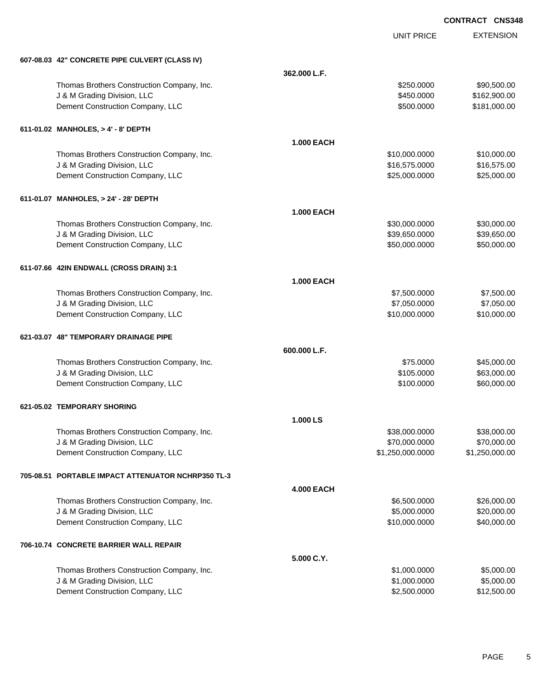|                                                    |                   | <b>UNIT PRICE</b> | <b>EXTENSION</b> |
|----------------------------------------------------|-------------------|-------------------|------------------|
| 607-08.03 42" CONCRETE PIPE CULVERT (CLASS IV)     |                   |                   |                  |
|                                                    | 362.000 L.F.      |                   |                  |
| Thomas Brothers Construction Company, Inc.         |                   | \$250.0000        | \$90,500.00      |
| J & M Grading Division, LLC                        |                   | \$450.0000        | \$162,900.00     |
| Dement Construction Company, LLC                   |                   | \$500.0000        | \$181,000.00     |
| 611-01.02 MANHOLES, > 4' - 8' DEPTH                |                   |                   |                  |
|                                                    | <b>1.000 EACH</b> |                   |                  |
| Thomas Brothers Construction Company, Inc.         |                   | \$10,000.0000     | \$10,000.00      |
| J & M Grading Division, LLC                        |                   | \$16,575.0000     | \$16,575.00      |
| Dement Construction Company, LLC                   |                   | \$25,000.0000     | \$25,000.00      |
| 611-01.07 MANHOLES, > 24' - 28' DEPTH              |                   |                   |                  |
|                                                    | <b>1.000 EACH</b> |                   |                  |
| Thomas Brothers Construction Company, Inc.         |                   | \$30,000.0000     | \$30,000.00      |
| J & M Grading Division, LLC                        |                   | \$39,650.0000     | \$39,650.00      |
| Dement Construction Company, LLC                   |                   | \$50,000.0000     | \$50,000.00      |
| 611-07.66 42IN ENDWALL (CROSS DRAIN) 3:1           |                   |                   |                  |
|                                                    | <b>1.000 EACH</b> |                   |                  |
| Thomas Brothers Construction Company, Inc.         |                   | \$7,500.0000      | \$7,500.00       |
| J & M Grading Division, LLC                        |                   | \$7,050.0000      | \$7,050.00       |
| Dement Construction Company, LLC                   |                   | \$10,000.0000     | \$10,000.00      |
| 621-03.07 48" TEMPORARY DRAINAGE PIPE              |                   |                   |                  |
|                                                    | 600.000 L.F.      |                   |                  |
| Thomas Brothers Construction Company, Inc.         |                   | \$75.0000         | \$45,000.00      |
| J & M Grading Division, LLC                        |                   | \$105.0000        | \$63,000.00      |
| Dement Construction Company, LLC                   |                   | \$100.0000        | \$60,000.00      |
| 621-05.02 TEMPORARY SHORING                        |                   |                   |                  |
|                                                    | 1.000 LS          |                   |                  |
| Thomas Brothers Construction Company, Inc.         |                   | \$38,000.0000     | \$38,000.00      |
| J & M Grading Division, LLC                        |                   | \$70,000.0000     | \$70,000.00      |
| Dement Construction Company, LLC                   |                   | \$1,250,000.0000  | \$1,250,000.00   |
| 705-08.51 PORTABLE IMPACT ATTENUATOR NCHRP350 TL-3 |                   |                   |                  |
|                                                    | <b>4.000 EACH</b> |                   |                  |
| Thomas Brothers Construction Company, Inc.         |                   | \$6,500.0000      | \$26,000.00      |
| J & M Grading Division, LLC                        |                   | \$5,000.0000      | \$20,000.00      |
| Dement Construction Company, LLC                   |                   | \$10,000.0000     | \$40,000.00      |
| 706-10.74 CONCRETE BARRIER WALL REPAIR             |                   |                   |                  |
|                                                    | 5.000 C.Y.        |                   |                  |
| Thomas Brothers Construction Company, Inc.         |                   | \$1,000.0000      | \$5,000.00       |
| J & M Grading Division, LLC                        |                   | \$1,000.0000      | \$5,000.00       |
| Dement Construction Company, LLC                   |                   | \$2,500.0000      | \$12,500.00      |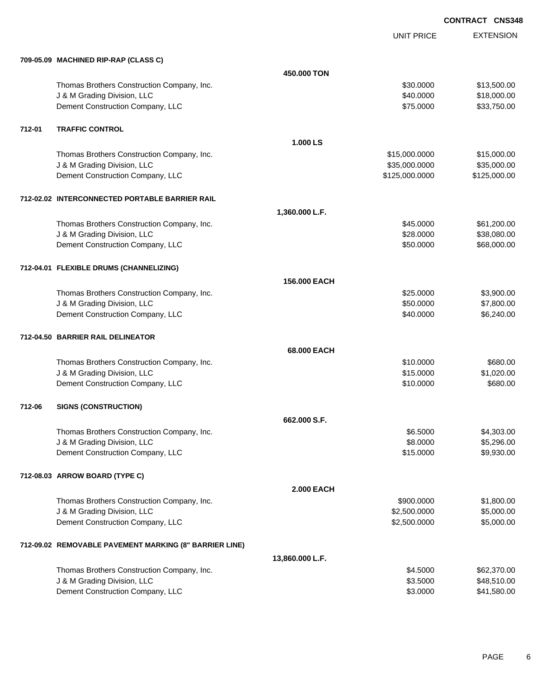EXTENSION **CONTRACT CNS348**

UNIT PRICE

| 709-05.09 MACHINED RIP-RAP (CLASS C) |  |
|--------------------------------------|--|

|        | 709-05.09 MACHINED RIP-RAP (CLASS C)                   |                   |                |              |
|--------|--------------------------------------------------------|-------------------|----------------|--------------|
|        |                                                        | 450.000 TON       |                |              |
|        | Thomas Brothers Construction Company, Inc.             |                   | \$30.0000      | \$13,500.00  |
|        | J & M Grading Division, LLC                            |                   | \$40.0000      | \$18,000.00  |
|        | Dement Construction Company, LLC                       |                   | \$75.0000      | \$33,750.00  |
| 712-01 | <b>TRAFFIC CONTROL</b>                                 |                   |                |              |
|        |                                                        | 1.000 LS          |                |              |
|        | Thomas Brothers Construction Company, Inc.             |                   | \$15,000.0000  | \$15,000.00  |
|        | J & M Grading Division, LLC                            |                   | \$35,000.0000  | \$35,000.00  |
|        | Dement Construction Company, LLC                       |                   | \$125,000.0000 | \$125,000.00 |
|        | 712-02.02 INTERCONNECTED PORTABLE BARRIER RAIL         |                   |                |              |
|        |                                                        | 1,360.000 L.F.    |                |              |
|        | Thomas Brothers Construction Company, Inc.             |                   | \$45.0000      | \$61,200.00  |
|        | J & M Grading Division, LLC                            |                   | \$28.0000      | \$38,080.00  |
|        | Dement Construction Company, LLC                       |                   | \$50.0000      | \$68,000.00  |
|        | 712-04.01 FLEXIBLE DRUMS (CHANNELIZING)                |                   |                |              |
|        |                                                        | 156.000 EACH      |                |              |
|        | Thomas Brothers Construction Company, Inc.             |                   | \$25.0000      | \$3,900.00   |
|        | J & M Grading Division, LLC                            |                   | \$50.0000      | \$7,800.00   |
|        | Dement Construction Company, LLC                       |                   | \$40.0000      | \$6,240.00   |
|        | 712-04.50 BARRIER RAIL DELINEATOR                      |                   |                |              |
|        |                                                        | 68.000 EACH       |                |              |
|        | Thomas Brothers Construction Company, Inc.             |                   | \$10.0000      | \$680.00     |
|        | J & M Grading Division, LLC                            |                   | \$15.0000      | \$1,020.00   |
|        | Dement Construction Company, LLC                       |                   | \$10.0000      | \$680.00     |
| 712-06 | <b>SIGNS (CONSTRUCTION)</b>                            |                   |                |              |
|        |                                                        | 662,000 S.F.      |                |              |
|        | Thomas Brothers Construction Company, Inc.             |                   | \$6,5000       | \$4,303.00   |
|        | J & M Grading Division, LLC                            |                   | \$8.0000       | \$5,296.00   |
|        | Dement Construction Company, LLC                       |                   | \$15.0000      | \$9,930.00   |
|        | 712-08.03 ARROW BOARD (TYPE C)                         |                   |                |              |
|        |                                                        | <b>2.000 EACH</b> |                |              |
|        | Thomas Brothers Construction Company, Inc.             |                   | \$900.0000     | \$1,800.00   |
|        | J & M Grading Division, LLC                            |                   | \$2,500.0000   | \$5,000.00   |
|        | Dement Construction Company, LLC                       |                   | \$2,500.0000   | \$5,000.00   |
|        | 712-09.02 REMOVABLE PAVEMENT MARKING (8" BARRIER LINE) |                   |                |              |
|        |                                                        | 13,860.000 L.F.   |                |              |
|        | Thomas Brothers Construction Company, Inc.             |                   | \$4.5000       | \$62,370.00  |
|        | J & M Grading Division, LLC                            |                   | \$3.5000       | \$48,510.00  |
|        | Dement Construction Company, LLC                       |                   | \$3.0000       | \$41,580.00  |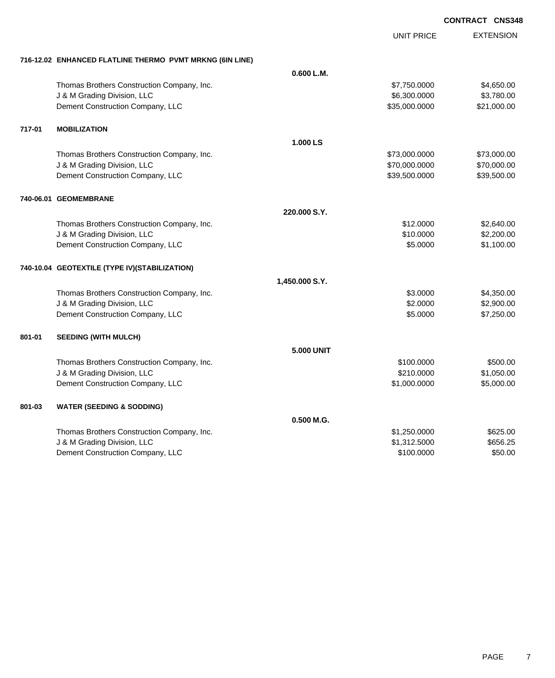|        |                                                          |                   | UNIT PRICE    | <b>EXTENSION</b> |
|--------|----------------------------------------------------------|-------------------|---------------|------------------|
|        | 716-12.02 ENHANCED FLATLINE THERMO PVMT MRKNG (6IN LINE) |                   |               |                  |
|        |                                                          | 0.600 L.M.        |               |                  |
|        | Thomas Brothers Construction Company, Inc.               |                   | \$7,750.0000  | \$4,650.00       |
|        | J & M Grading Division, LLC                              |                   | \$6,300.0000  | \$3,780.00       |
|        | Dement Construction Company, LLC                         |                   | \$35,000.0000 | \$21,000.00      |
| 717-01 | <b>MOBILIZATION</b>                                      |                   |               |                  |
|        |                                                          | 1.000 LS          |               |                  |
|        | Thomas Brothers Construction Company, Inc.               |                   | \$73,000.0000 | \$73,000.00      |
|        | J & M Grading Division, LLC                              |                   | \$70,000.0000 | \$70,000.00      |
|        | Dement Construction Company, LLC                         |                   | \$39,500.0000 | \$39,500.00      |
|        | 740-06.01 GEOMEMBRANE                                    |                   |               |                  |
|        |                                                          | 220,000 S.Y.      |               |                  |
|        | Thomas Brothers Construction Company, Inc.               |                   | \$12.0000     | \$2,640.00       |
|        | J & M Grading Division, LLC                              |                   | \$10.0000     | \$2,200.00       |
|        | Dement Construction Company, LLC                         |                   | \$5.0000      | \$1,100.00       |
|        | 740-10.04 GEOTEXTILE (TYPE IV)(STABILIZATION)            |                   |               |                  |
|        |                                                          | 1,450.000 S.Y.    |               |                  |
|        | Thomas Brothers Construction Company, Inc.               |                   | \$3.0000      | \$4,350.00       |
|        | J & M Grading Division, LLC                              |                   | \$2.0000      | \$2,900.00       |
|        | Dement Construction Company, LLC                         |                   | \$5,0000      | \$7,250.00       |
| 801-01 | <b>SEEDING (WITH MULCH)</b>                              |                   |               |                  |
|        |                                                          | <b>5.000 UNIT</b> |               |                  |
|        | Thomas Brothers Construction Company, Inc.               |                   | \$100.0000    | \$500.00         |
|        | J & M Grading Division, LLC                              |                   | \$210.0000    | \$1,050.00       |
|        | Dement Construction Company, LLC                         |                   | \$1,000.0000  | \$5,000.00       |
| 801-03 | <b>WATER (SEEDING &amp; SODDING)</b>                     |                   |               |                  |
|        |                                                          | 0.500 M.G.        |               |                  |
|        | Thomas Brothers Construction Company, Inc.               |                   | \$1,250.0000  | \$625.00         |
|        | J & M Grading Division, LLC                              |                   | \$1,312.5000  | \$656.25         |
|        | Dement Construction Company, LLC                         |                   | \$100,0000    | \$50.00          |